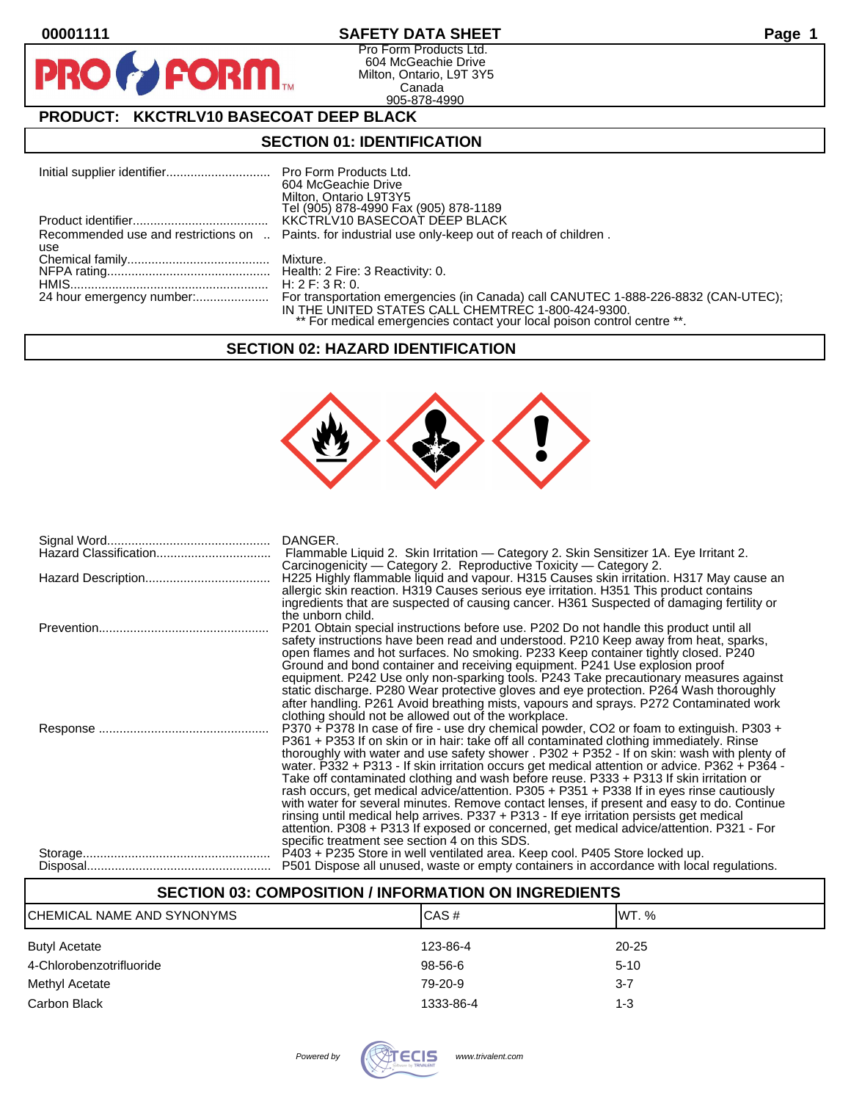**PI** 

# **00001111 SAFETY DATA SHEET Page 1**

Pro Form Products Ltd. 604 McGeachie Drive Milton, Ontario, L9T 3Y5 Canada 905-878-4990

# **PRODUCT: KKCTRLV10 BASECOAT DEEP BLACK**

**FORM.** 

### **SECTION 01: IDENTIFICATION**

|     | 604 McGeachie Drive                                                                                 |
|-----|-----------------------------------------------------------------------------------------------------|
|     | Milton, Ontario L9T3Y5                                                                              |
|     | Tel (905) 878-4990 Fax (905) 878-1189                                                               |
|     | KKCTRLV10 BASECOAT DEEP BLACK                                                                       |
|     | Recommended use and restrictions on  Paints. for industrial use only-keep out of reach of children. |
| use |                                                                                                     |
|     |                                                                                                     |
|     |                                                                                                     |
|     | H: 2 F: 3 R: 0.                                                                                     |
|     |                                                                                                     |
|     | IN THE UNITED STATES CALL CHEMTREC 1-800-424-9300.                                                  |
|     | ** For medical emergencies contact your local poison control centre **.                             |

#### **SECTION 02: HAZARD IDENTIFICATION**



| DANGER.<br>Flammable Liquid 2. Skin Irritation — Category 2. Skin Sensitizer 1A. Eye Irritant 2.<br>Carcinogenicity — Category 2. Reproductive Toxicity — Category 2.                                                                                                                                                                                                                                                                                                                                                                                                                                                                                                                                                                                                                                                                                                                                               |
|---------------------------------------------------------------------------------------------------------------------------------------------------------------------------------------------------------------------------------------------------------------------------------------------------------------------------------------------------------------------------------------------------------------------------------------------------------------------------------------------------------------------------------------------------------------------------------------------------------------------------------------------------------------------------------------------------------------------------------------------------------------------------------------------------------------------------------------------------------------------------------------------------------------------|
| H225 Highly flammable liquid and vapour. H315 Causes skin irritation. H317 May cause an<br>allergic skin reaction. H319 Causes serious eye irritation. H351 This product contains<br>ingredients that are suspected of causing cancer. H361 Suspected of damaging fertility or<br>the unborn child.                                                                                                                                                                                                                                                                                                                                                                                                                                                                                                                                                                                                                 |
| P201 Obtain special instructions before use. P202 Do not handle this product until all<br>safety instructions have been read and understood. P210 Keep away from heat, sparks,<br>open flames and hot surfaces. No smoking. P233 Keep container tightly closed. P240<br>Ground and bond container and receiving equipment. P241 Use explosion proof<br>equipment. P242 Use only non-sparking tools. P243 Take precautionary measures against<br>static discharge. P280 Wear protective gloves and eye protection. P264 Wash thoroughly<br>after handling. P261 Avoid breathing mists, vapours and sprays. P272 Contaminated work<br>clothing should not be allowed out of the workplace.                                                                                                                                                                                                                            |
| P370 + P378 In case of fire - use dry chemical powder, CO2 or foam to extinguish. P303 +<br>P361 + P353 If on skin or in hair: take off all contaminated clothing immediately. Rinse<br>thoroughly with water and use safety shower . P302 + P352 - If on skin: wash with plenty of<br>water. P332 + P313 - If skin irritation occurs get medical attention or advice. P362 + P364 -<br>Take off contaminated clothing and wash before reuse. P333 + P313 If skin irritation or<br>rash occurs, get medical advice/attention. P305 + P351 + P338 If in eyes rinse cautiously<br>with water for several minutes. Remove contact lenses, if present and easy to do. Continue<br>rinsing until medical help arrives. P337 + P313 - If eye irritation persists get medical<br>attention. P308 + P313 If exposed or concerned, get medical advice/attention. P321 - For<br>specific treatment see section 4 on this SDS. |
| P403 + P235 Store in well ventilated area. Keep cool. P405 Store locked up.<br>P501 Dispose all unused, waste or empty containers in accordance with local regulations.                                                                                                                                                                                                                                                                                                                                                                                                                                                                                                                                                                                                                                                                                                                                             |

# **SECTION 03: COMPOSITION / INFORMATION ON INGREDIENTS** CHEMICAL NAME AND SYNONYMS CAS # CAS # WT. % Butyl Acetate 20-25 4-Chlorobenzotrifluoride 98-56-6 5-10 Methyl Acetate 3-7 Carbon Black 1333-86-4 1333-86-4 1333-86-4 1333-86-4 1533-86-4 1533-86-4 1533-86-4 1533-86-4 1533-86-4 1533-86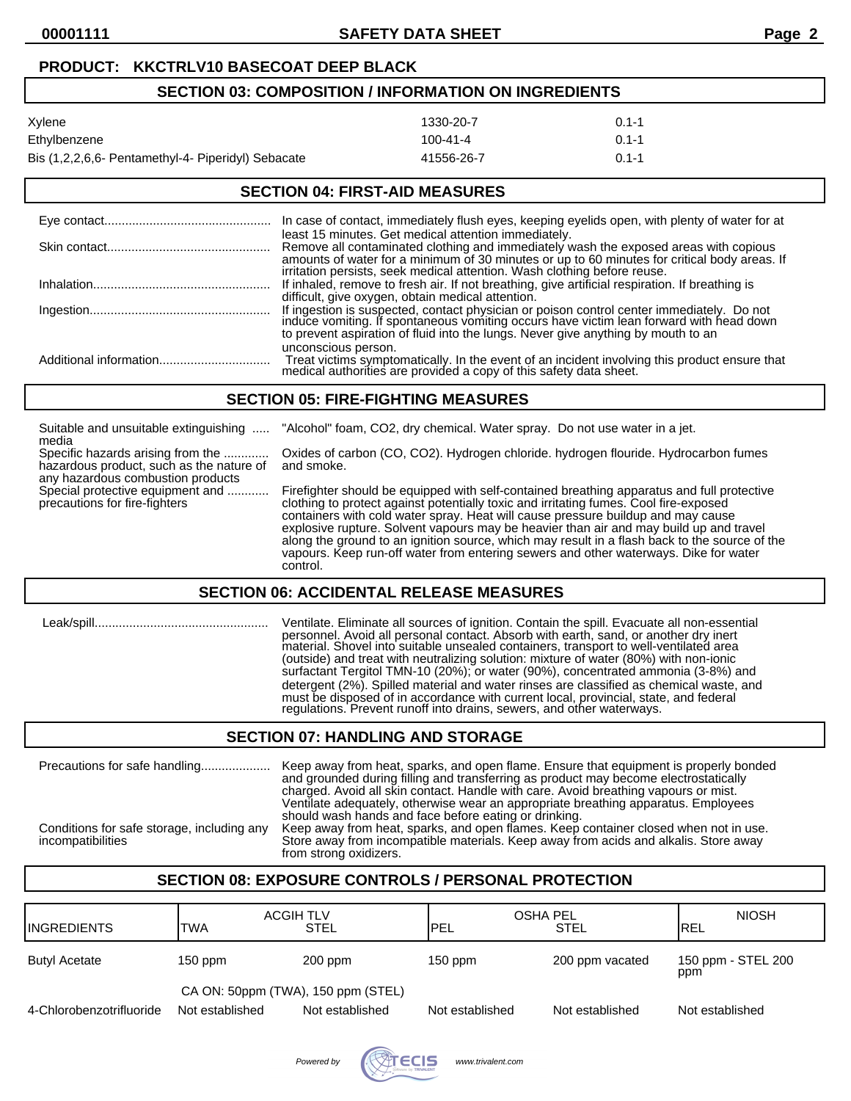### **PRODUCT: KKCTRLV10 BASECOAT DEEP BLACK**

## **SECTION 03: COMPOSITION / INFORMATION ON INGREDIENTS**

| Xylene                                             | 1330-20-7  | $0.1 - 1$ |
|----------------------------------------------------|------------|-----------|
| Ethylbenzene                                       | 100-41-4   | $0.1 - 1$ |
| Bis (1,2,2,6,6- Pentamethyl-4- Piperidyl) Sebacate | 41556-26-7 | $0.1 - 1$ |

### **SECTION 04: FIRST-AID MEASURES**

| In case of contact, immediately flush eyes, keeping eyelids open, with plenty of water for at                                                                                                                                                                                                                               |
|-----------------------------------------------------------------------------------------------------------------------------------------------------------------------------------------------------------------------------------------------------------------------------------------------------------------------------|
| least 15 minutes. Get medical attention immediately.<br>Remove all contaminated clothing and immediately wash the exposed areas with copious<br>amounts of water for a minimum of 30 minutes or up to 60 minutes for critical body areas. If<br>irritation persists, seek medical attention. Wash clothing before reuse.    |
| If inhaled, remove to fresh air. If not breathing, give artificial respiration. If breathing is                                                                                                                                                                                                                             |
| difficult, give oxygen, obtain medical attention.<br>If ingestion is suspected, contact physician or poison control center immediately. Do not induce vomiting. If spontaneous vomiting occurs have victim lean forward with head down<br>to prevent aspiration of fluid into the lungs. Never give anything by mouth to an |
| unconscious person.<br>Treat victims symptomatically. In the event of an incident involving this product ensure that medical authorities are provided a copy of this safety data sheet.                                                                                                                                     |

#### **SECTION 05: FIRE-FIGHTING MEASURES**

| Suitable and unsuitable extinguishing<br>media                                                                     | "Alcohol" foam, CO2, dry chemical. Water spray. Do not use water in a jet.                                                                                                                                                                                                                                                                                                                                                                                                                                                                                             |
|--------------------------------------------------------------------------------------------------------------------|------------------------------------------------------------------------------------------------------------------------------------------------------------------------------------------------------------------------------------------------------------------------------------------------------------------------------------------------------------------------------------------------------------------------------------------------------------------------------------------------------------------------------------------------------------------------|
| Specific hazards arising from the<br>hazardous product, such as the nature of<br>any hazardous combustion products | Oxides of carbon (CO, CO2). Hydrogen chloride. hydrogen flouride. Hydrocarbon fumes<br>and smoke.                                                                                                                                                                                                                                                                                                                                                                                                                                                                      |
| Special protective equipment and<br>precautions for fire-fighters                                                  | Firefighter should be equipped with self-contained breathing apparatus and full protective<br>clothing to protect against potentially toxic and irritating fumes. Cool fire-exposed<br>containers with cold water spray. Heat will cause pressure buildup and may cause<br>explosive rupture. Solvent vapours may be heavier than air and may build up and travel<br>along the ground to an ignition source, which may result in a flash back to the source of the<br>vapours. Keep run-off water from entering sewers and other waterways. Dike for water<br>control. |

#### **SECTION 06: ACCIDENTAL RELEASE MEASURES**

| Leak/spill | Ventilate. Eliminate all sources of ignition. Contain the spill. Evacuate all non-essential<br>personnel. Avoid all personal contact. Absorb with earth, sand, or another dry inert<br>material. Shovel into suitable unsealed containers, transport to well-ventilated area<br>(outside) and treat with neutralizing solution: mixture of water (80%) with non-ionic<br>surfactant Tergitol TMN-10 (20%); or water (90%), concentrated ammonia (3-8%) and<br>detergent (2%). Spilled material and water rinses are classified as chemical waste, and<br>must be disposed of in accordance with current local, provincial, state, and federal<br>regulations. Prevent runoff into drains, sewers, and other waterways. |
|------------|------------------------------------------------------------------------------------------------------------------------------------------------------------------------------------------------------------------------------------------------------------------------------------------------------------------------------------------------------------------------------------------------------------------------------------------------------------------------------------------------------------------------------------------------------------------------------------------------------------------------------------------------------------------------------------------------------------------------|
|            | APATIAU AT IIIUNI IUA IUN ATANI AP                                                                                                                                                                                                                                                                                                                                                                                                                                                                                                                                                                                                                                                                                     |

#### **SECTION 07: HANDLING AND STORAGE**

| Precautions for safe handling<br>Conditions for safe storage, including any<br>incompatibilities | Keep away from heat, sparks, and open flame. Ensure that equipment is properly bonded<br>and grounded during filling and transferring as product may become electrostatically<br>charged. Avoid all skin contact. Handle with care. Avoid breathing vapours or mist.<br>Ventilate adequately, otherwise wear an appropriate breathing apparatus. Employees<br>should wash hands and face before eating or drinking.<br>Keep away from heat, sparks, and open flames. Keep container closed when not in use.<br>Store away from incompatible materials. Keep away from acids and alkalis. Store away |
|--------------------------------------------------------------------------------------------------|-----------------------------------------------------------------------------------------------------------------------------------------------------------------------------------------------------------------------------------------------------------------------------------------------------------------------------------------------------------------------------------------------------------------------------------------------------------------------------------------------------------------------------------------------------------------------------------------------------|
|                                                                                                  | from strong oxidizers.                                                                                                                                                                                                                                                                                                                                                                                                                                                                                                                                                                              |

# **SECTION 08: EXPOSURE CONTROLS / PERSONAL PROTECTION**

| <b>INGREDIENTS</b>       | <b>ACGIH TLV</b><br><b>TWA</b>                        | STEL            | <b>OSHA PEL</b><br>PEL | <b>STEL</b>     | <b>NIOSH</b><br>REL       |
|--------------------------|-------------------------------------------------------|-----------------|------------------------|-----------------|---------------------------|
| <b>Butyl Acetate</b>     | $150$ ppm                                             | 200 ppm         | $150$ ppm              | 200 ppm vacated | 150 ppm - STEL 200<br>ppm |
| 4-Chlorobenzotrifluoride | CA ON: 50ppm (TWA), 150 ppm (STEL)<br>Not established | Not established | Not established        | Not established | Not established           |

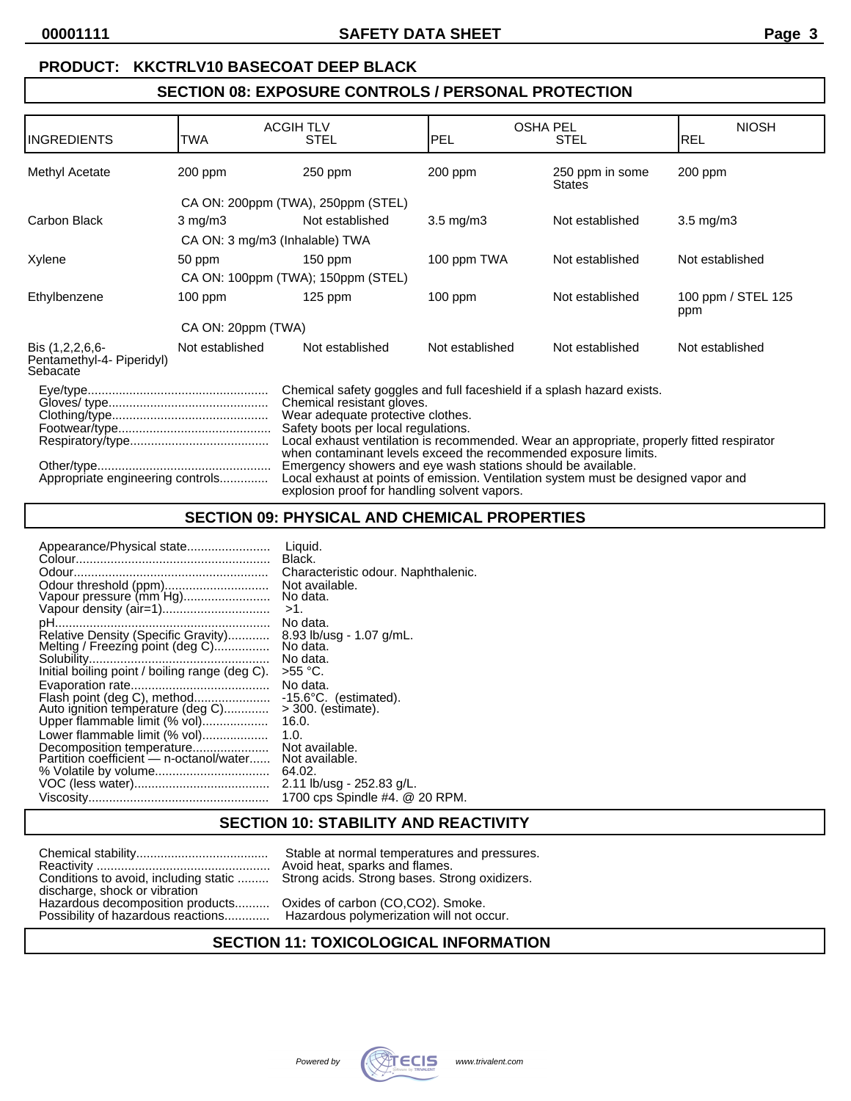### **PRODUCT: KKCTRLV10 BASECOAT DEEP BLACK**

# **SECTION 08: EXPOSURE CONTROLS / PERSONAL PROTECTION**

| <b>INGREDIENTS</b>                                                                                                                                                                                                                                                                                                                                                                                                                                                                                                                                                                         | <b>TWA</b>         | <b>ACGIHTLV</b><br><b>STEL</b>     | <b>PEL</b>      | <b>OSHA PEL</b><br><b>STEL</b>   | <b>NIOSH</b><br><b>REL</b> |
|--------------------------------------------------------------------------------------------------------------------------------------------------------------------------------------------------------------------------------------------------------------------------------------------------------------------------------------------------------------------------------------------------------------------------------------------------------------------------------------------------------------------------------------------------------------------------------------------|--------------------|------------------------------------|-----------------|----------------------------------|----------------------------|
|                                                                                                                                                                                                                                                                                                                                                                                                                                                                                                                                                                                            |                    |                                    |                 |                                  |                            |
| Methyl Acetate                                                                                                                                                                                                                                                                                                                                                                                                                                                                                                                                                                             | 200 ppm            | 250 ppm                            | $200$ ppm       | 250 ppm in some<br><b>States</b> | 200 ppm                    |
|                                                                                                                                                                                                                                                                                                                                                                                                                                                                                                                                                                                            |                    | CA ON: 200ppm (TWA), 250ppm (STEL) |                 |                                  |                            |
| Carbon Black                                                                                                                                                                                                                                                                                                                                                                                                                                                                                                                                                                               | $3 \text{ mg/m}$   | Not established                    | $3.5$ mg/m $3$  | Not established                  | $3.5 \text{ mg/m}$         |
|                                                                                                                                                                                                                                                                                                                                                                                                                                                                                                                                                                                            |                    | CA ON: 3 mg/m3 (Inhalable) TWA     |                 |                                  |                            |
| Xylene                                                                                                                                                                                                                                                                                                                                                                                                                                                                                                                                                                                     | 50 ppm             | $150$ ppm                          | 100 ppm TWA     | Not established                  | Not established            |
|                                                                                                                                                                                                                                                                                                                                                                                                                                                                                                                                                                                            |                    | CA ON: 100ppm (TWA); 150ppm (STEL) |                 |                                  |                            |
| Ethylbenzene                                                                                                                                                                                                                                                                                                                                                                                                                                                                                                                                                                               | $100$ ppm          | $125$ ppm                          | $100$ ppm       | Not established                  | 100 ppm / STEL 125<br>ppm  |
|                                                                                                                                                                                                                                                                                                                                                                                                                                                                                                                                                                                            | CA ON: 20ppm (TWA) |                                    |                 |                                  |                            |
| Bis (1,2,2,6,6-<br>Pentamethyl-4- Piperidyl)<br>Sebacate                                                                                                                                                                                                                                                                                                                                                                                                                                                                                                                                   | Not established    | Not established                    | Not established | Not established                  | Not established            |
| Chemical safety goggles and full faceshield if a splash hazard exists.<br>Chemical resistant gloves.<br>Wear adequate protective clothes.<br>Safety boots per local regulations.<br>Local exhaust ventilation is recommended. Wear an appropriate, properly fitted respirator<br>when contaminant levels exceed the recommended exposure limits.<br>Emergency showers and eye wash stations should be available.<br>Appropriate engineering controls<br>Local exhaust at points of emission. Ventilation system must be designed vapor and<br>explosion proof for handling solvent vapors. |                    |                                    |                 |                                  |                            |

### **SECTION 09: PHYSICAL AND CHEMICAL PROPERTIES**

| Appearance/Physical state                                                                                                 | Liquid.                                                                     |
|---------------------------------------------------------------------------------------------------------------------------|-----------------------------------------------------------------------------|
|                                                                                                                           | Black.                                                                      |
| Odour threshold (ppm)<br>Vapour pressure (mm Hg)                                                                          | Characteristic odour. Naphthalenic.<br>Not available.<br>No data.<br>$>1$ . |
| Pelative Density (Specific Gravity)<br>Melting / Freezing point (deg C)<br>Initial boiling point / boiling range (deg C). | No data.<br>8.93 lb/usq - 1.07 g/mL.<br>No data.<br>No data.<br>>55 °C.     |
|                                                                                                                           | No data.                                                                    |
| Flash point (deg C), method                                                                                               | -15.6°C. (estimated).                                                       |
| Auto ignition temperature (deg C)                                                                                         | $>$ 300. (estimate).                                                        |
| Upper flammable limit (% vol)                                                                                             | 16.0.                                                                       |
| Lower flammable limit (% vol)                                                                                             | 1.0.                                                                        |
| Decomposition temperature                                                                                                 | Not available.                                                              |
| Partition coefficient - n-octanol/water                                                                                   | Not available.                                                              |
|                                                                                                                           | 64.02.                                                                      |
|                                                                                                                           | 2.11 lb/usg - 252.83 g/L.                                                   |
|                                                                                                                           | 1700 cps Spindle #4. @ 20 RPM.                                              |

#### **SECTION 10: STABILITY AND REACTIVITY**

|                                       | Stable at normal temperatures and pressures   |
|---------------------------------------|-----------------------------------------------|
|                                       | Avoid heat, sparks and flames.                |
| Conditions to avoid, including static | Strong acids. Strong bases. Strong oxidizers. |
| discharge, shock or vibration         |                                               |
| Hazardous decomposition products      | Oxides of carbon (CO,CO2). Smoke.             |
| Possibility of hazardous reactions    | Hazardous polymerization will not occur.      |

### **SECTION 11: TOXICOLOGICAL INFORMATION**

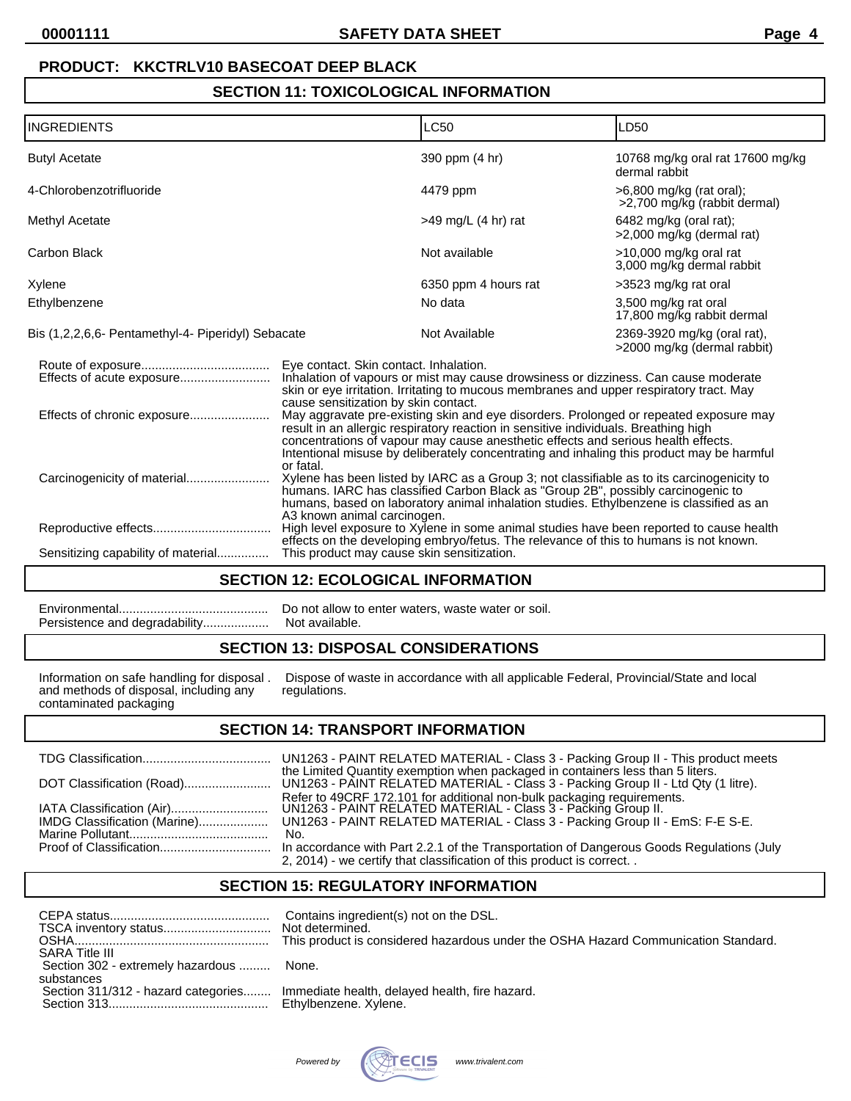# **PRODUCT: KKCTRLV10 BASECOAT DEEP BLACK**

# **SECTION 11: TOXICOLOGICAL INFORMATION**

| <b>INGREDIENTS</b>                                 |                                                                                                                                                                                                                                                                                                                                                                                                        | <b>LC50</b>                                                                                                                                                                      | LD50                                                       |
|----------------------------------------------------|--------------------------------------------------------------------------------------------------------------------------------------------------------------------------------------------------------------------------------------------------------------------------------------------------------------------------------------------------------------------------------------------------------|----------------------------------------------------------------------------------------------------------------------------------------------------------------------------------|------------------------------------------------------------|
| <b>Butyl Acetate</b>                               |                                                                                                                                                                                                                                                                                                                                                                                                        | 390 ppm (4 hr)                                                                                                                                                                   | 10768 mg/kg oral rat 17600 mg/kg<br>dermal rabbit          |
| 4-Chlorobenzotrifluoride                           |                                                                                                                                                                                                                                                                                                                                                                                                        | 4479 ppm                                                                                                                                                                         | >6,800 mg/kg (rat oral);<br>>2,700 mg/kg (rabbit dermal)   |
| Methyl Acetate                                     |                                                                                                                                                                                                                                                                                                                                                                                                        | $>49$ mg/L (4 hr) rat                                                                                                                                                            | 6482 mg/kg (oral rat);<br>>2,000 mg/kg (dermal rat)        |
| Carbon Black                                       |                                                                                                                                                                                                                                                                                                                                                                                                        | Not available                                                                                                                                                                    | >10,000 mg/kg oral rat<br>3,000 mg/kg dermal rabbit        |
| Xylene                                             |                                                                                                                                                                                                                                                                                                                                                                                                        | 6350 ppm 4 hours rat                                                                                                                                                             | >3523 mg/kg rat oral                                       |
| Ethylbenzene                                       |                                                                                                                                                                                                                                                                                                                                                                                                        | No data                                                                                                                                                                          | 3,500 mg/kg rat oral<br>17,800 mg/kg rabbit dermal         |
| Bis (1,2,2,6,6- Pentamethyl-4- Piperidyl) Sebacate |                                                                                                                                                                                                                                                                                                                                                                                                        | Not Available                                                                                                                                                                    | 2369-3920 mg/kg (oral rat),<br>>2000 mg/kg (dermal rabbit) |
|                                                    | Eye contact. Skin contact. Inhalation.<br>Inhalation of vapours or mist may cause drowsiness or dizziness. Can cause moderate<br>skin or eye irritation. Irritating to mucous membranes and upper respiratory tract. May                                                                                                                                                                               |                                                                                                                                                                                  |                                                            |
| Effects of chronic exposure                        | cause sensitization by skin contact.<br>May aggravate pre-existing skin and eye disorders. Prolonged or repeated exposure may<br>result in an allergic respiratory reaction in sensitive individuals. Breathing high<br>concentrations of vapour may cause anesthetic effects and serious health effects.<br>Intentional misuse by deliberately concentrating and inhaling this product may be harmful |                                                                                                                                                                                  |                                                            |
| Carcinogenicity of material                        | or fatal.<br>Xylene has been listed by IARC as a Group 3; not classifiable as to its carcinogenicity to<br>humans. IARC has classified Carbon Black as "Group 2B", possibly carcinogenic to<br>humans, based on laboratory animal inhalation studies. Ethylbenzene is classified as an<br>A3 known animal carcinogen.                                                                                  |                                                                                                                                                                                  |                                                            |
|                                                    |                                                                                                                                                                                                                                                                                                                                                                                                        | High level exposure to Xylene in some animal studies have been reported to cause health<br>effects on the developing embryo/fetus. The relevance of this to humans is not known. |                                                            |
| Sensitizing capability of material                 | This product may cause skin sensitization.                                                                                                                                                                                                                                                                                                                                                             |                                                                                                                                                                                  |                                                            |

#### **SECTION 12: ECOLOGICAL INFORMATION**

| Do not allow to enter waters, waste water or soil. |
|----------------------------------------------------|
|                                                    |

### **SECTION 13: DISPOSAL CONSIDERATIONS**

Information on safe handling for disposal.<br>and methods of disposal, including any contaminated packaging

Dispose of waste in accordance with all applicable Federal, Provincial/State and local regulations.

#### **SECTION 14: TRANSPORT INFORMATION**

|                              | UN1263 - PAINT RELATED MATERIAL - Class 3 - Packing Group II - This product meets                                                                                                                                              |
|------------------------------|--------------------------------------------------------------------------------------------------------------------------------------------------------------------------------------------------------------------------------|
|                              | the Limited Quantity exemption when packaged in containers less than 5 liters.<br>UN1263 - PAINT RELATED MATERIAL - Class 3 - Packing Group II - Ltd Qty (1 litre).                                                            |
| IMDG Classification (Marine) | Refer to 49CRF 172.101 for additional non-bulk packaging requirements.<br>UN1263 - PAINT RELATED MATERIAL - Class 3 - Packing Group II.<br>UN1263 - PAINT RELATED MATERIAL - Class 3 - Packing Group II - EmS: F-E S-E.<br>No. |
|                              | In accordance with Part 2.2.1 of the Transportation of Dangerous Goods Regulations (July<br>2, 2014) - we certify that classification of this product is correct                                                               |

## **SECTION 15: REGULATORY INFORMATION**

| <b>SARA Title III</b>                             | Contains ingredient(s) not on the DSL.<br>Not determined. |
|---------------------------------------------------|-----------------------------------------------------------|
| Section 302 - extremely hazardous  None.          |                                                           |
| substances<br>Section 311/312 - hazard categories | Immediate health, delayed health, fire hazard.            |